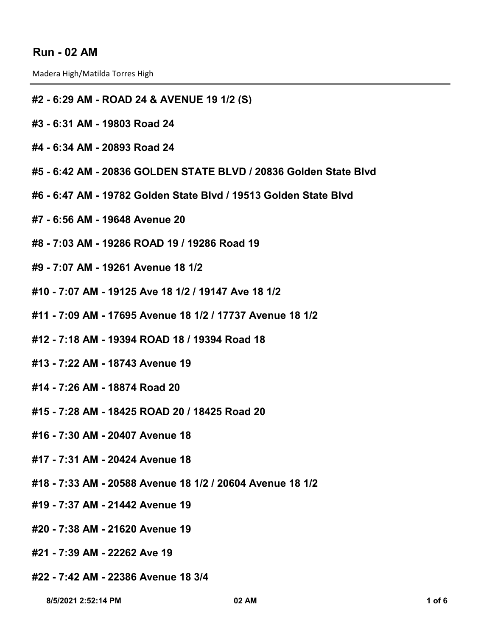## **Run - 02 AM**

Madera High/Matilda Torres High

## **#2 - 6:29 AM - ROAD 24 & AVENUE 19 1/2 (S)**

- **#3 6:31 AM 19803 Road 24**
- **#4 6:34 AM 20893 Road 24**
- **#5 6:42 AM 20836 GOLDEN STATE BLVD / 20836 Golden State Blvd**
- **#6 6:47 AM 19782 Golden State Blvd / 19513 Golden State Blvd**
- **#7 6:56 AM 19648 Avenue 20**
- **#8 7:03 AM 19286 ROAD 19 / 19286 Road 19**
- **#9 7:07 AM 19261 Avenue 18 1/2**
- **#10 7:07 AM 19125 Ave 18 1/2 / 19147 Ave 18 1/2**
- **#11 7:09 AM 17695 Avenue 18 1/2 / 17737 Avenue 18 1/2**
- **#12 7:18 AM 19394 ROAD 18 / 19394 Road 18**
- **#13 7:22 AM 18743 Avenue 19**
- **#14 7:26 AM 18874 Road 20**
- **#15 7:28 AM 18425 ROAD 20 / 18425 Road 20**
- **#16 7:30 AM 20407 Avenue 18**
- **#17 7:31 AM 20424 Avenue 18**
- **#18 7:33 AM 20588 Avenue 18 1/2 / 20604 Avenue 18 1/2**
- **#19 7:37 AM 21442 Avenue 19**
- **#20 7:38 AM 21620 Avenue 19**
- **#21 7:39 AM 22262 Ave 19**
- **#22 7:42 AM 22386 Avenue 18 3/4**

 **8/5/2021 2:52:14 PM 02 AM 1 of 6**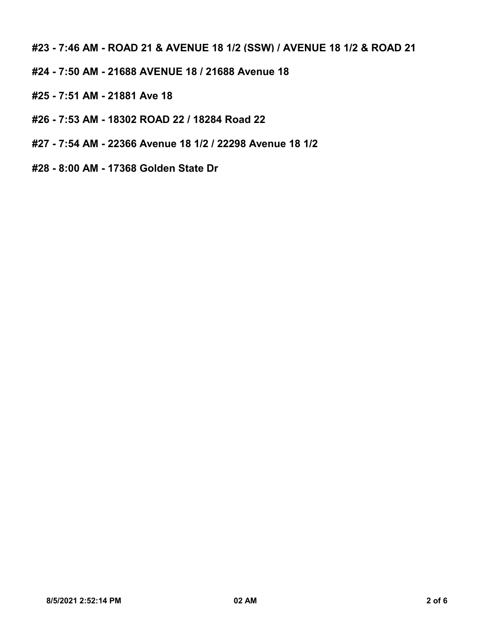**#23 - 7:46 AM - ROAD 21 & AVENUE 18 1/2 (SSW) / AVENUE 18 1/2 & ROAD 21**

- **#24 7:50 AM 21688 AVENUE 18 / 21688 Avenue 18**
- **#25 7:51 AM 21881 Ave 18**
- **#26 7:53 AM 18302 ROAD 22 / 18284 Road 22**
- **#27 7:54 AM 22366 Avenue 18 1/2 / 22298 Avenue 18 1/2**
- **#28 8:00 AM 17368 Golden State Dr**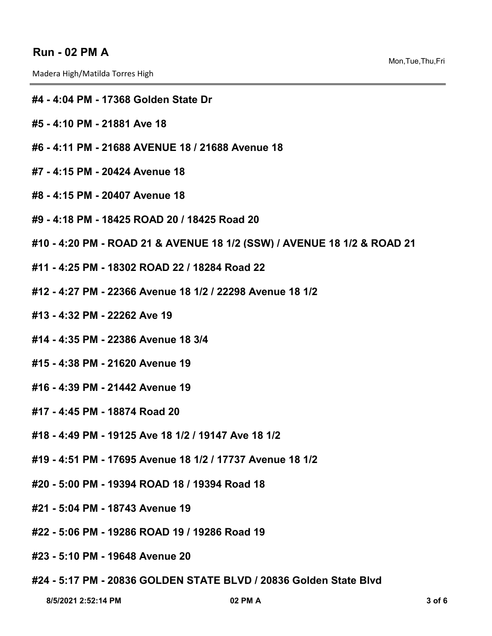## **Run - 02 PM A**

Madera High/Matilda Torres High

- **#4 4:04 PM 17368 Golden State Dr**
- **#5 4:10 PM 21881 Ave 18**
- **#6 4:11 PM 21688 AVENUE 18 / 21688 Avenue 18**
- **#7 4:15 PM 20424 Avenue 18**
- **#8 4:15 PM 20407 Avenue 18**
- **#9 4:18 PM 18425 ROAD 20 / 18425 Road 20**
- **#10 4:20 PM ROAD 21 & AVENUE 18 1/2 (SSW) / AVENUE 18 1/2 & ROAD 21**
- **#11 4:25 PM 18302 ROAD 22 / 18284 Road 22**
- **#12 4:27 PM 22366 Avenue 18 1/2 / 22298 Avenue 18 1/2**
- **#13 4:32 PM 22262 Ave 19**
- **#14 4:35 PM 22386 Avenue 18 3/4**
- **#15 4:38 PM 21620 Avenue 19**
- **#16 4:39 PM 21442 Avenue 19**
- **#17 4:45 PM 18874 Road 20**
- **#18 4:49 PM 19125 Ave 18 1/2 / 19147 Ave 18 1/2**
- **#19 4:51 PM 17695 Avenue 18 1/2 / 17737 Avenue 18 1/2**
- **#20 5:00 PM 19394 ROAD 18 / 19394 Road 18**
- **#21 5:04 PM 18743 Avenue 19**
- **#22 5:06 PM 19286 ROAD 19 / 19286 Road 19**
- **#23 5:10 PM 19648 Avenue 20**
- **#24 5:17 PM 20836 GOLDEN STATE BLVD / 20836 Golden State Blvd**

 **8/5/2021 2:52:14 PM 02 PM A 3 of 6**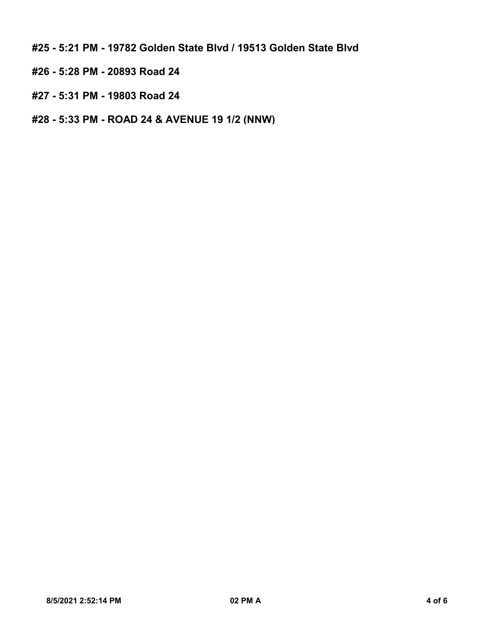**#25 - 5:21 PM - 19782 Golden State Blvd / 19513 Golden State Blvd**

- **#26 5:28 PM 20893 Road 24**
- **#27 5:31 PM 19803 Road 24**
- **#28 5:33 PM ROAD 24 & AVENUE 19 1/2 (NNW)**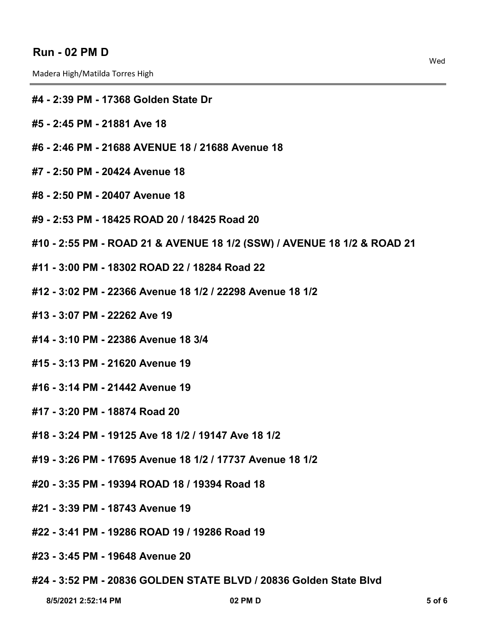## **Run - 02 PM D**

Madera High/Matilda Torres High

- **#4 2:39 PM 17368 Golden State Dr**
- **#5 2:45 PM 21881 Ave 18**
- **#6 2:46 PM 21688 AVENUE 18 / 21688 Avenue 18**
- **#7 2:50 PM 20424 Avenue 18**
- **#8 2:50 PM 20407 Avenue 18**
- **#9 2:53 PM 18425 ROAD 20 / 18425 Road 20**
- **#10 2:55 PM ROAD 21 & AVENUE 18 1/2 (SSW) / AVENUE 18 1/2 & ROAD 21**
- **#11 3:00 PM 18302 ROAD 22 / 18284 Road 22**
- **#12 3:02 PM 22366 Avenue 18 1/2 / 22298 Avenue 18 1/2**
- **#13 3:07 PM 22262 Ave 19**
- **#14 3:10 PM 22386 Avenue 18 3/4**
- **#15 3:13 PM 21620 Avenue 19**
- **#16 3:14 PM 21442 Avenue 19**
- **#17 3:20 PM 18874 Road 20**
- **#18 3:24 PM 19125 Ave 18 1/2 / 19147 Ave 18 1/2**
- **#19 3:26 PM 17695 Avenue 18 1/2 / 17737 Avenue 18 1/2**
- **#20 3:35 PM 19394 ROAD 18 / 19394 Road 18**
- **#21 3:39 PM 18743 Avenue 19**
- **#22 3:41 PM 19286 ROAD 19 / 19286 Road 19**
- **#23 3:45 PM 19648 Avenue 20**
- **#24 3:52 PM 20836 GOLDEN STATE BLVD / 20836 Golden State Blvd**

 **8/5/2021 2:52:14 PM 02 PM D 5 of 6**